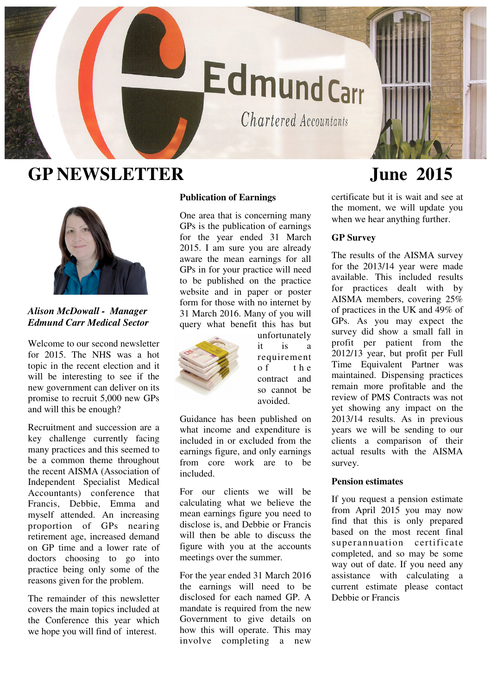

# **GP NEWSLETTER June 2015**



# *Alison McDowall - Manager Edmund Carr Medical Sector*

Welcome to our second newsletter for 2015. The NHS was a hot topic in the recent election and it will be interesting to see if the new government can deliver on its promise to recruit 5,000 new GPs and will this be enough?

Recruitment and succession are a key challenge currently facing many practices and this seemed to be a common theme throughout the recent AISMA (Association of Independent Specialist Medical Accountants) conference that Francis, Debbie, Emma and myself attended. An increasing proportion of GPs nearing retirement age, increased demand on GP time and a lower rate of doctors choosing to go into practice being only some of the reasons given for the problem.

The remainder of this newsletter covers the main topics included at the Conference this year which we hope you will find of interest.

## **Publication of Earnings**

One area that is concerning many GPs is the publication of earnings for the year ended 31 March 2015. I am sure you are already aware the mean earnings for all GPs in for your practice will need to be published on the practice website and in paper or poster form for those with no internet by 31 March 2016. Many of you will query what benefit this has but



unfortunately it is a requirement  $of$  the contract and so cannot be avoided.

Guidance has been published on what income and expenditure is included in or excluded from the earnings figure, and only earnings from core work are to be included.

For our clients we will be calculating what we believe the mean earnings figure you need to disclose is, and Debbie or Francis will then be able to discuss the figure with you at the accounts meetings over the summer.

For the year ended 31 March 2016 the earnings will need to be disclosed for each named GP. A mandate is required from the new Government to give details on how this will operate. This may involve completing a new

certificate but it is wait and see at the moment, we will update you when we hear anything further.

### **GP Survey**

The results of the AISMA survey for the 2013/14 year were made available. This included results for practices dealt with by AISMA members, covering 25% of practices in the UK and 49% of GPs. As you may expect the survey did show a small fall in profit per patient from the 2012/13 year, but profit per Full Time Equivalent Partner was maintained. Dispensing practices remain more profitable and the review of PMS Contracts was not yet showing any impact on the 2013/14 results. As in previous years we will be sending to our clients a comparison of their actual results with the AISMA survey.

#### **Pension estimates**

If you request a pension estimate from April 2015 you may now find that this is only prepared based on the most recent final superannuation certificate completed, and so may be some way out of date. If you need any assistance with calculating a current estimate please contact Debbie or Francis